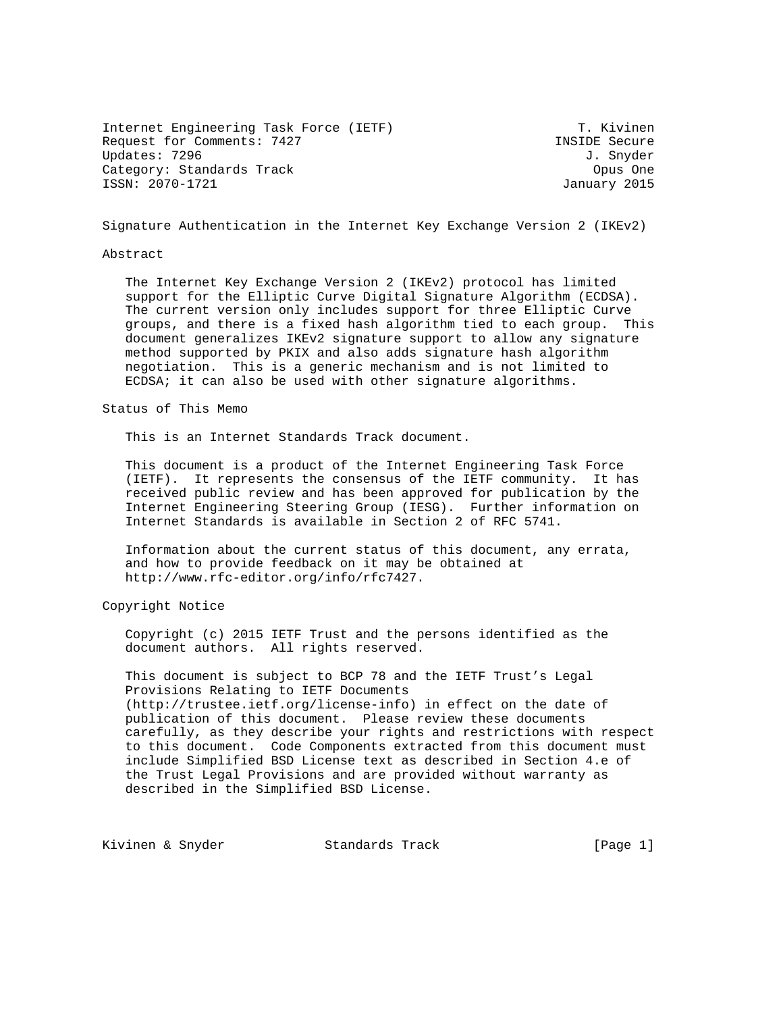Internet Engineering Task Force (IETF) T. Kivinen Request for Comments: 7427 **INSIDE** Secure Updates: 7296 J. Snyder Category: Standards Track Category: Standards Track Category: Opus One ISSN: 2070-1721 January 2015

Signature Authentication in the Internet Key Exchange Version 2 (IKEv2)

Abstract

 The Internet Key Exchange Version 2 (IKEv2) protocol has limited support for the Elliptic Curve Digital Signature Algorithm (ECDSA). The current version only includes support for three Elliptic Curve groups, and there is a fixed hash algorithm tied to each group. This document generalizes IKEv2 signature support to allow any signature method supported by PKIX and also adds signature hash algorithm negotiation. This is a generic mechanism and is not limited to ECDSA; it can also be used with other signature algorithms.

Status of This Memo

This is an Internet Standards Track document.

 This document is a product of the Internet Engineering Task Force (IETF). It represents the consensus of the IETF community. It has received public review and has been approved for publication by the Internet Engineering Steering Group (IESG). Further information on Internet Standards is available in Section 2 of RFC 5741.

 Information about the current status of this document, any errata, and how to provide feedback on it may be obtained at http://www.rfc-editor.org/info/rfc7427.

Copyright Notice

 Copyright (c) 2015 IETF Trust and the persons identified as the document authors. All rights reserved.

 This document is subject to BCP 78 and the IETF Trust's Legal Provisions Relating to IETF Documents (http://trustee.ietf.org/license-info) in effect on the date of publication of this document. Please review these documents carefully, as they describe your rights and restrictions with respect to this document. Code Components extracted from this document must include Simplified BSD License text as described in Section 4.e of the Trust Legal Provisions and are provided without warranty as described in the Simplified BSD License.

Kivinen & Snyder Standards Track [Page 1]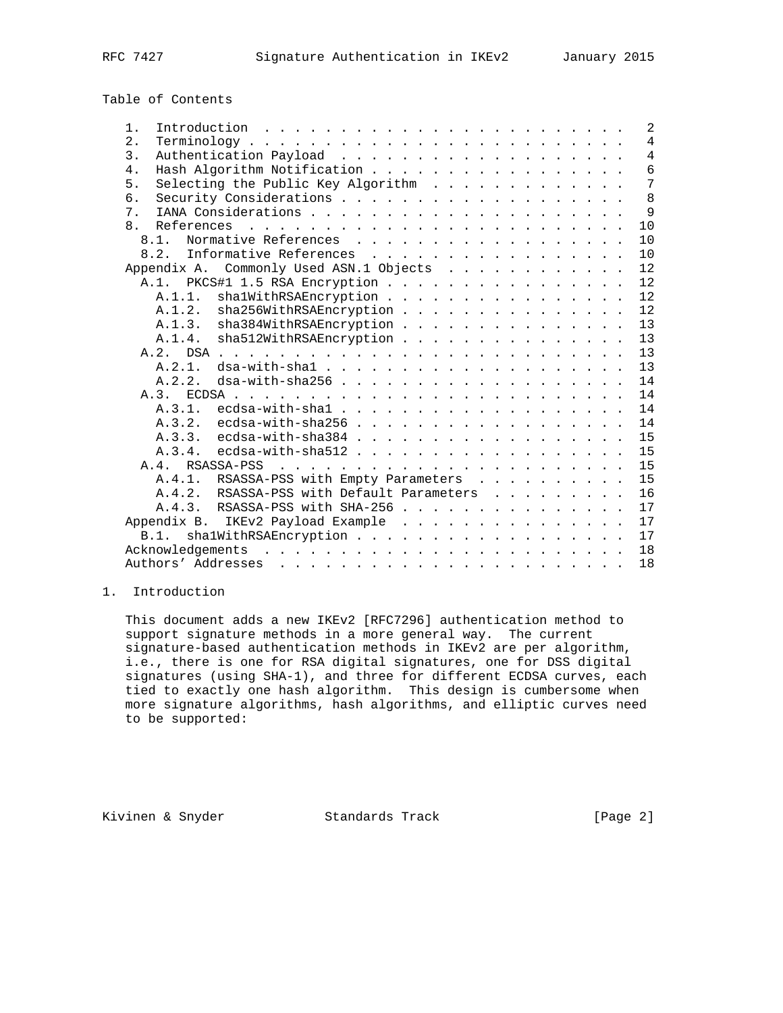Table of Contents

| 1.               |             | Introduction $\ldots \ldots \ldots \ldots \ldots \ldots \ldots \ldots$                                                                                                                                                               |                                                                           |  |  |  |  |  |  |  |  | 2               |
|------------------|-------------|--------------------------------------------------------------------------------------------------------------------------------------------------------------------------------------------------------------------------------------|---------------------------------------------------------------------------|--|--|--|--|--|--|--|--|-----------------|
| 2.               |             | $Terminology \ldots \ldots \ldots \ldots \ldots \ldots \ldots \ldots \ldots$                                                                                                                                                         |                                                                           |  |  |  |  |  |  |  |  | $\overline{4}$  |
| $\overline{3}$ . |             |                                                                                                                                                                                                                                      |                                                                           |  |  |  |  |  |  |  |  | $\overline{4}$  |
| 4.               |             | Hash Algorithm Notification                                                                                                                                                                                                          |                                                                           |  |  |  |  |  |  |  |  | $6\phantom{1}$  |
| 5.               |             | Selecting the Public Key Algorithm                                                                                                                                                                                                   |                                                                           |  |  |  |  |  |  |  |  | $7\phantom{.0}$ |
| б.               |             |                                                                                                                                                                                                                                      |                                                                           |  |  |  |  |  |  |  |  | 8               |
| 7.               |             |                                                                                                                                                                                                                                      |                                                                           |  |  |  |  |  |  |  |  | $\mathsf{Q}$    |
| 8 <sub>1</sub>   | References  |                                                                                                                                                                                                                                      |                                                                           |  |  |  |  |  |  |  |  | 10              |
| 8.1.             |             | Normative References                                                                                                                                                                                                                 |                                                                           |  |  |  |  |  |  |  |  | 10              |
|                  | 8.2.        | Informative References                                                                                                                                                                                                               |                                                                           |  |  |  |  |  |  |  |  | 10              |
|                  |             | Appendix A. Commonly Used ASN.1 Objects                                                                                                                                                                                              |                                                                           |  |  |  |  |  |  |  |  | 12              |
|                  |             | A.1. PKCS#1 1.5 RSA Encryption                                                                                                                                                                                                       |                                                                           |  |  |  |  |  |  |  |  | 12              |
|                  | A.1.1.      | shalWithRSAEncryption                                                                                                                                                                                                                |                                                                           |  |  |  |  |  |  |  |  | 12              |
|                  |             | A.1.2. sha256WithRSAEncryption                                                                                                                                                                                                       |                                                                           |  |  |  |  |  |  |  |  | 12              |
|                  |             | A.1.3. sha384WithRSAEncryption                                                                                                                                                                                                       |                                                                           |  |  |  |  |  |  |  |  | 13              |
|                  | A.1.4.      | sha512WithRSAEncryption                                                                                                                                                                                                              |                                                                           |  |  |  |  |  |  |  |  | 13              |
|                  |             |                                                                                                                                                                                                                                      |                                                                           |  |  |  |  |  |  |  |  | 13              |
|                  | A.2.1.      | $ds$ a-with-shal                                                                                                                                                                                                                     |                                                                           |  |  |  |  |  |  |  |  | 13              |
|                  | A.2.2.      | $ds$ a-with-sha $256$                                                                                                                                                                                                                |                                                                           |  |  |  |  |  |  |  |  | 14              |
|                  | A.3. ECDSA. | <u>. In the second contract of the second contract of the second contract of the second contract of the second contract of the second contract of the second contract of the second contract of the second contract of the secon</u> |                                                                           |  |  |  |  |  |  |  |  | 14              |
|                  | A.3.1.      |                                                                                                                                                                                                                                      |                                                                           |  |  |  |  |  |  |  |  | 14              |
|                  | A.3.2.      | ecdsa-with-sha256                                                                                                                                                                                                                    |                                                                           |  |  |  |  |  |  |  |  | 14              |
|                  | A.3.3.      | ecdsa-with-sha384                                                                                                                                                                                                                    |                                                                           |  |  |  |  |  |  |  |  | 15              |
|                  | A.3.4.      | $ecdsa-with-sha512$                                                                                                                                                                                                                  |                                                                           |  |  |  |  |  |  |  |  | 15              |
|                  |             | A.4. RSASSA-PSS                                                                                                                                                                                                                      |                                                                           |  |  |  |  |  |  |  |  | 15              |
|                  |             | A.4.1. RSASSA-PSS with Empty Parameters                                                                                                                                                                                              |                                                                           |  |  |  |  |  |  |  |  | 15              |
|                  |             | A.4.2. RSASSA-PSS with Default Parameters                                                                                                                                                                                            |                                                                           |  |  |  |  |  |  |  |  | 16              |
|                  |             | A.4.3. RSASSA-PSS with SHA-256                                                                                                                                                                                                       |                                                                           |  |  |  |  |  |  |  |  | 17              |
|                  |             | Appendix B. IKEv2 Payload Example                                                                                                                                                                                                    |                                                                           |  |  |  |  |  |  |  |  | 17              |
|                  |             |                                                                                                                                                                                                                                      |                                                                           |  |  |  |  |  |  |  |  | 17              |
|                  |             |                                                                                                                                                                                                                                      |                                                                           |  |  |  |  |  |  |  |  | 18              |
|                  |             | Authors' Addresses                                                                                                                                                                                                                   | المتناول والمتناول والمتناول والمناول والمناول والمناول والمناول والمناول |  |  |  |  |  |  |  |  | 18              |

## 1. Introduction

 This document adds a new IKEv2 [RFC7296] authentication method to support signature methods in a more general way. The current signature-based authentication methods in IKEv2 are per algorithm, i.e., there is one for RSA digital signatures, one for DSS digital signatures (using SHA-1), and three for different ECDSA curves, each tied to exactly one hash algorithm. This design is cumbersome when more signature algorithms, hash algorithms, and elliptic curves need to be supported:

Kivinen & Snyder Standards Track [Page 2]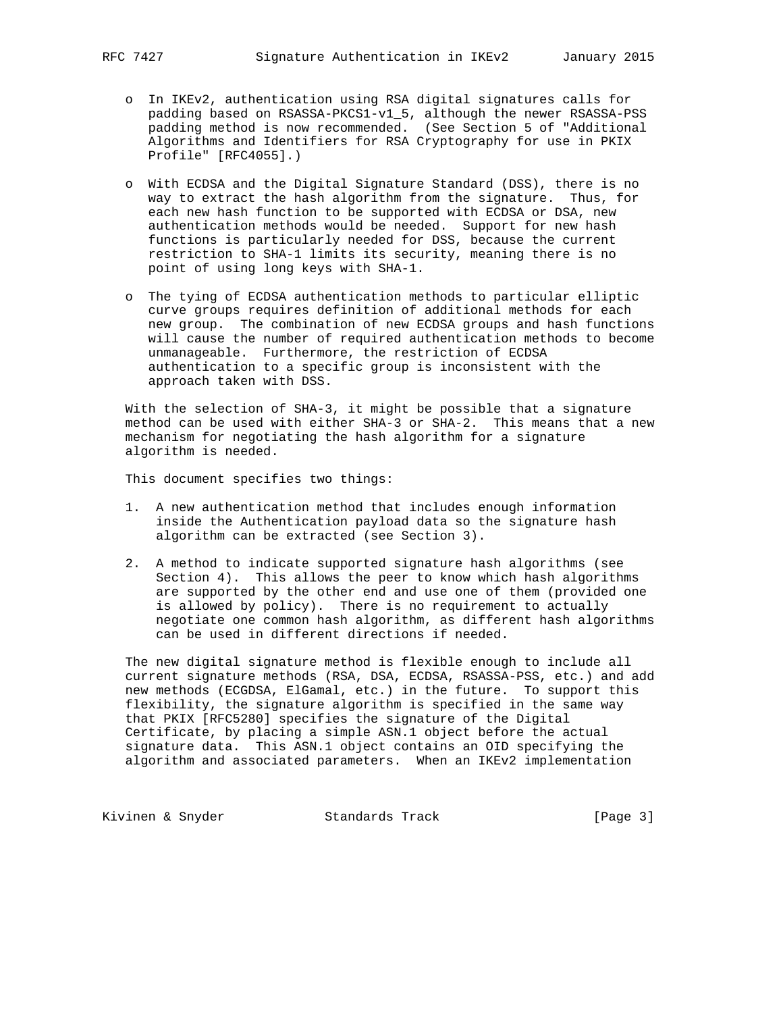- o In IKEv2, authentication using RSA digital signatures calls for padding based on RSASSA-PKCS1-v1\_5, although the newer RSASSA-PSS padding method is now recommended. (See Section 5 of "Additional Algorithms and Identifiers for RSA Cryptography for use in PKIX Profile" [RFC4055].)
- o With ECDSA and the Digital Signature Standard (DSS), there is no way to extract the hash algorithm from the signature. Thus, for each new hash function to be supported with ECDSA or DSA, new authentication methods would be needed. Support for new hash functions is particularly needed for DSS, because the current restriction to SHA-1 limits its security, meaning there is no point of using long keys with SHA-1.
- o The tying of ECDSA authentication methods to particular elliptic curve groups requires definition of additional methods for each new group. The combination of new ECDSA groups and hash functions will cause the number of required authentication methods to become unmanageable. Furthermore, the restriction of ECDSA authentication to a specific group is inconsistent with the approach taken with DSS.

 With the selection of SHA-3, it might be possible that a signature method can be used with either SHA-3 or SHA-2. This means that a new mechanism for negotiating the hash algorithm for a signature algorithm is needed.

This document specifies two things:

- 1. A new authentication method that includes enough information inside the Authentication payload data so the signature hash algorithm can be extracted (see Section 3).
- 2. A method to indicate supported signature hash algorithms (see Section 4). This allows the peer to know which hash algorithms are supported by the other end and use one of them (provided one is allowed by policy). There is no requirement to actually negotiate one common hash algorithm, as different hash algorithms can be used in different directions if needed.

 The new digital signature method is flexible enough to include all current signature methods (RSA, DSA, ECDSA, RSASSA-PSS, etc.) and add new methods (ECGDSA, ElGamal, etc.) in the future. To support this flexibility, the signature algorithm is specified in the same way that PKIX [RFC5280] specifies the signature of the Digital Certificate, by placing a simple ASN.1 object before the actual signature data. This ASN.1 object contains an OID specifying the algorithm and associated parameters. When an IKEv2 implementation

Kivinen & Snyder Standards Track (Page 3)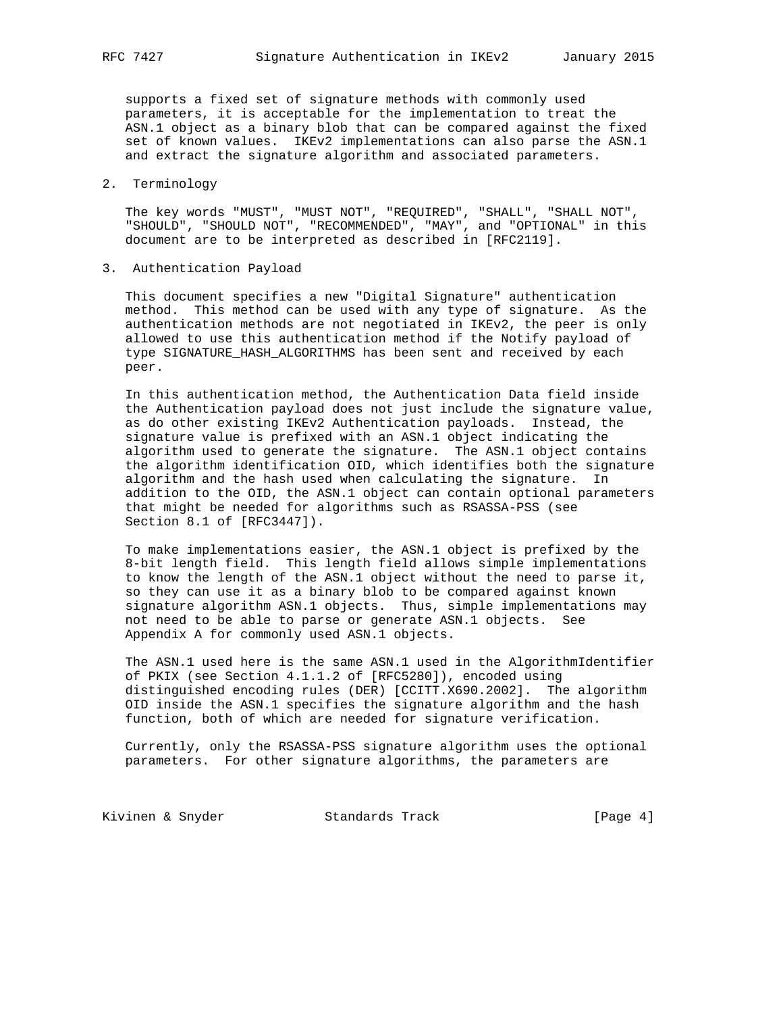supports a fixed set of signature methods with commonly used parameters, it is acceptable for the implementation to treat the ASN.1 object as a binary blob that can be compared against the fixed set of known values. IKEv2 implementations can also parse the ASN.1 and extract the signature algorithm and associated parameters.

2. Terminology

 The key words "MUST", "MUST NOT", "REQUIRED", "SHALL", "SHALL NOT", "SHOULD", "SHOULD NOT", "RECOMMENDED", "MAY", and "OPTIONAL" in this document are to be interpreted as described in [RFC2119].

3. Authentication Payload

 This document specifies a new "Digital Signature" authentication method. This method can be used with any type of signature. As the authentication methods are not negotiated in IKEv2, the peer is only allowed to use this authentication method if the Notify payload of type SIGNATURE\_HASH\_ALGORITHMS has been sent and received by each peer.

 In this authentication method, the Authentication Data field inside the Authentication payload does not just include the signature value, as do other existing IKEv2 Authentication payloads. Instead, the signature value is prefixed with an ASN.1 object indicating the algorithm used to generate the signature. The ASN.1 object contains the algorithm identification OID, which identifies both the signature algorithm and the hash used when calculating the signature. In addition to the OID, the ASN.1 object can contain optional parameters that might be needed for algorithms such as RSASSA-PSS (see Section 8.1 of [RFC3447]).

 To make implementations easier, the ASN.1 object is prefixed by the 8-bit length field. This length field allows simple implementations to know the length of the ASN.1 object without the need to parse it, so they can use it as a binary blob to be compared against known signature algorithm ASN.1 objects. Thus, simple implementations may not need to be able to parse or generate ASN.1 objects. See Appendix A for commonly used ASN.1 objects.

 The ASN.1 used here is the same ASN.1 used in the AlgorithmIdentifier of PKIX (see Section 4.1.1.2 of [RFC5280]), encoded using distinguished encoding rules (DER) [CCITT.X690.2002]. The algorithm OID inside the ASN.1 specifies the signature algorithm and the hash function, both of which are needed for signature verification.

 Currently, only the RSASSA-PSS signature algorithm uses the optional parameters. For other signature algorithms, the parameters are

Kivinen & Snyder Standards Track (Page 4)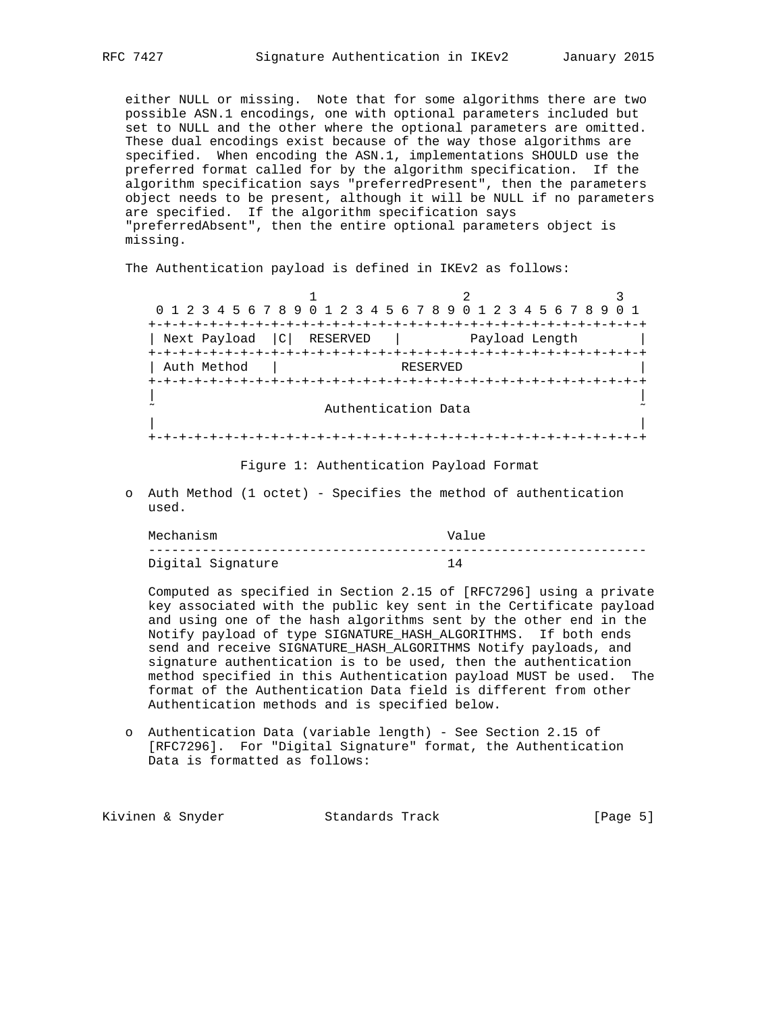either NULL or missing. Note that for some algorithms there are two possible ASN.1 encodings, one with optional parameters included but set to NULL and the other where the optional parameters are omitted. These dual encodings exist because of the way those algorithms are specified. When encoding the ASN.1, implementations SHOULD use the preferred format called for by the algorithm specification. If the algorithm specification says "preferredPresent", then the parameters object needs to be present, although it will be NULL if no parameters are specified. If the algorithm specification says "preferredAbsent", then the entire optional parameters object is missing.

The Authentication payload is defined in IKEv2 as follows:

|                                   |                     | 0 1 2 3 4 5 6 7 8 9 0 1 2 3 4 5 6 7 8 9 0 1 2 3 4 5 6 7 8 9 |  |
|-----------------------------------|---------------------|-------------------------------------------------------------|--|
| +-+-+-+-+-+-+                     |                     |                                                             |  |
| Next Payload<br>$\vert$ C $\vert$ | RESERVED            | Payload Length                                              |  |
|                                   |                     |                                                             |  |
| Auth Method                       |                     | RESERVED                                                    |  |
|                                   |                     |                                                             |  |
|                                   |                     |                                                             |  |
|                                   | Authentication Data |                                                             |  |
|                                   |                     |                                                             |  |
|                                   |                     |                                                             |  |
|                                   |                     |                                                             |  |

Figure 1: Authentication Payload Format

 o Auth Method (1 octet) - Specifies the method of authentication used.

| Mechanism |                   | Value |
|-----------|-------------------|-------|
|           |                   |       |
|           | Digital Signature | . 4   |

 Computed as specified in Section 2.15 of [RFC7296] using a private key associated with the public key sent in the Certificate payload and using one of the hash algorithms sent by the other end in the Notify payload of type SIGNATURE\_HASH\_ALGORITHMS. If both ends send and receive SIGNATURE HASH ALGORITHMS Notify payloads, and signature authentication is to be used, then the authentication method specified in this Authentication payload MUST be used. The format of the Authentication Data field is different from other Authentication methods and is specified below.

 o Authentication Data (variable length) - See Section 2.15 of [RFC7296]. For "Digital Signature" format, the Authentication Data is formatted as follows:

| Kivinen & Snyder | Standards Track | [Page 5] |
|------------------|-----------------|----------|
|------------------|-----------------|----------|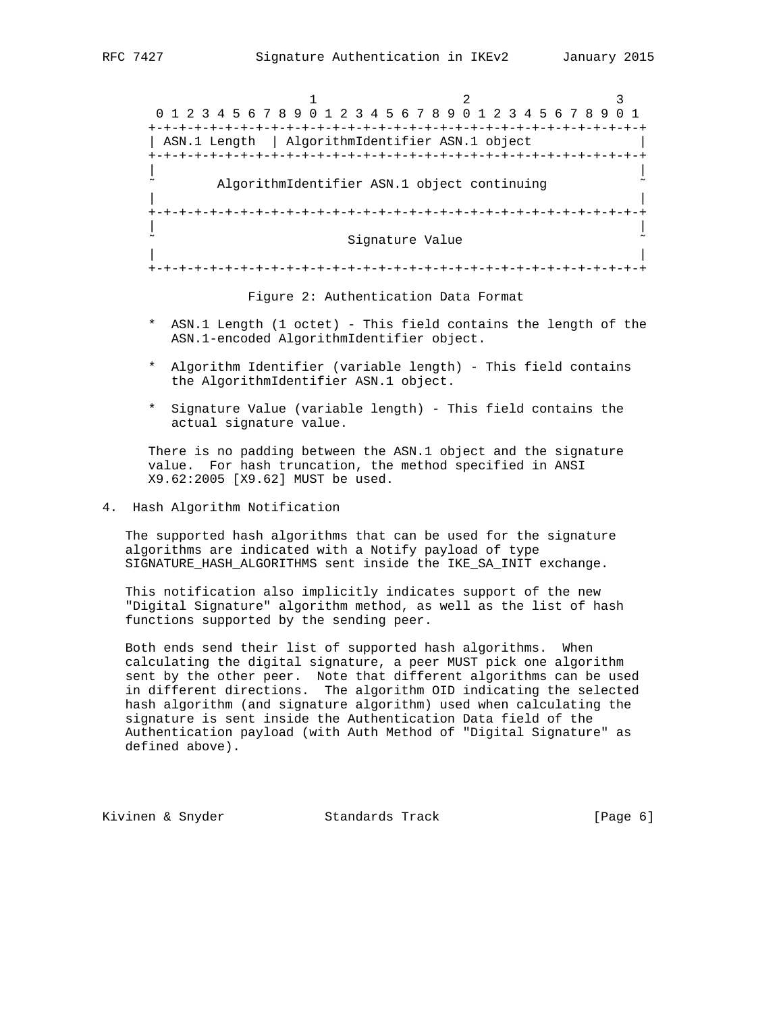1 2 3 0 1 2 3 4 5 6 7 8 9 0 1 2 3 4 5 6 7 8 9 0 1 2 3 4 5 6 7 8 9 0 1 +-+-+-+-+-+-+-+-+-+-+-+-+-+-+-+-+-+-+-+-+-+-+-+-+-+-+-+-+-+-+-+-+ | ASN.1 Length | AlgorithmIdentifier ASN.1 object +-+-+-+-+-+-+-+-+-+-+-+-+-+-+-+-+-+-+-+-+-+-+-+-+-+-+-+-+-+-+-+-+ | | AlgorithmIdentifier ASN.1 object continuing | | +-+-+-+-+-+-+-+-+-+-+-+-+-+-+-+-+-+-+-+-+-+-+-+-+-+-+-+-+-+-+-+-+ | | Signature Value | | +-+-+-+-+-+-+-+-+-+-+-+-+-+-+-+-+-+-+-+-+-+-+-+-+-+-+-+-+-+-+-+-+

Figure 2: Authentication Data Format

- \* ASN.1 Length (1 octet) This field contains the length of the ASN.1-encoded AlgorithmIdentifier object.
- \* Algorithm Identifier (variable length) This field contains the AlgorithmIdentifier ASN.1 object.
- \* Signature Value (variable length) This field contains the actual signature value.

 There is no padding between the ASN.1 object and the signature value. For hash truncation, the method specified in ANSI X9.62:2005 [X9.62] MUST be used.

4. Hash Algorithm Notification

 The supported hash algorithms that can be used for the signature algorithms are indicated with a Notify payload of type SIGNATURE\_HASH\_ALGORITHMS sent inside the IKE\_SA\_INIT exchange.

 This notification also implicitly indicates support of the new "Digital Signature" algorithm method, as well as the list of hash functions supported by the sending peer.

 Both ends send their list of supported hash algorithms. When calculating the digital signature, a peer MUST pick one algorithm sent by the other peer. Note that different algorithms can be used in different directions. The algorithm OID indicating the selected hash algorithm (and signature algorithm) used when calculating the signature is sent inside the Authentication Data field of the Authentication payload (with Auth Method of "Digital Signature" as defined above).

Kivinen & Snyder Standards Track [Page 6]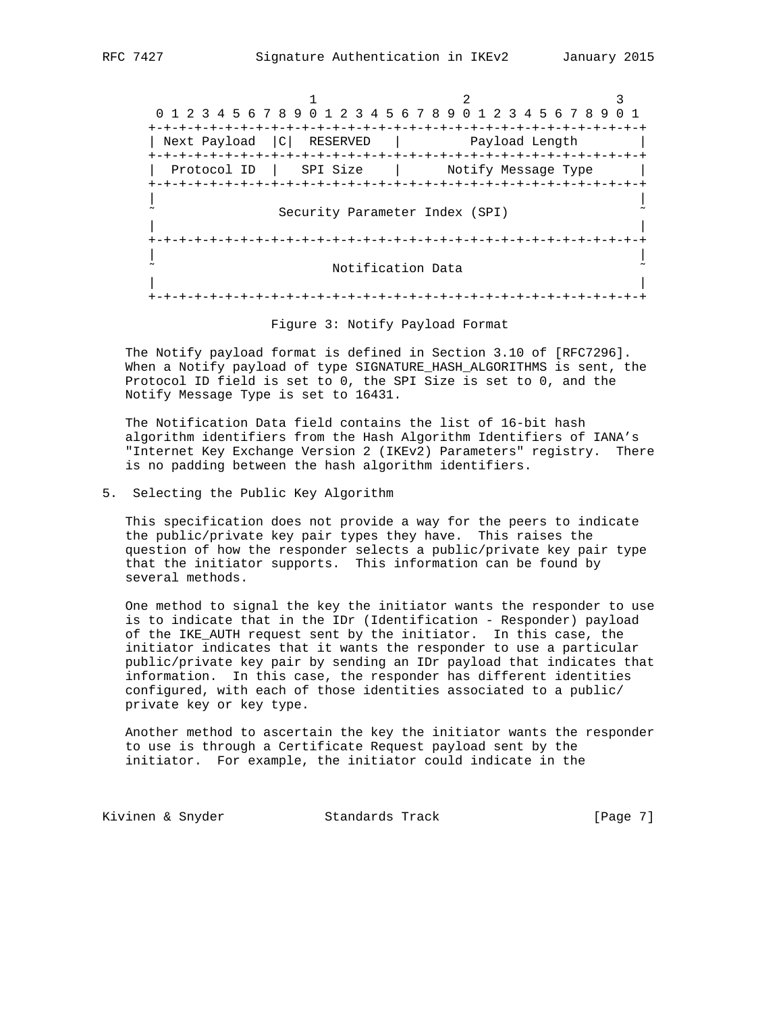1 2 3 0 1 2 3 4 5 6 7 8 9 0 1 2 3 4 5 6 7 8 9 0 1 2 3 4 5 6 7 8 9 0 1 +-+-+-+-+-+-+-+-+-+-+-+-+-+-+-+-+-+-+-+-+-+-+-+-+-+-+-+-+-+-+-+-+ | Next Payload |C| RESERVED | Payload Length | +-+-+-+-+-+-+-+-+-+-+-+-+-+-+-+-+-+-+-+-+-+-+-+-+-+-+-+-+-+-+-+-+ | Protocol ID | SPI Size | Notify Message Type | +-+-+-+-+-+-+-+-+-+-+-+-+-+-+-+-+-+-+-+-+-+-+-+-+-+-+-+-+-+-+-+-+ | | Security Parameter Index (SPI) | | +-+-+-+-+-+-+-+-+-+-+-+-+-+-+-+-+-+-+-+-+-+-+-+-+-+-+-+-+-+-+-+-+ | | Notification Data | | +-+-+-+-+-+-+-+-+-+-+-+-+-+-+-+-+-+-+-+-+-+-+-+-+-+-+-+-+-+-+-+-+

Figure 3: Notify Payload Format

 The Notify payload format is defined in Section 3.10 of [RFC7296]. When a Notify payload of type SIGNATURE\_HASH\_ALGORITHMS is sent, the Protocol ID field is set to 0, the SPI Size is set to 0, and the Notify Message Type is set to 16431.

 The Notification Data field contains the list of 16-bit hash algorithm identifiers from the Hash Algorithm Identifiers of IANA's "Internet Key Exchange Version 2 (IKEv2) Parameters" registry. There is no padding between the hash algorithm identifiers.

5. Selecting the Public Key Algorithm

 This specification does not provide a way for the peers to indicate the public/private key pair types they have. This raises the question of how the responder selects a public/private key pair type that the initiator supports. This information can be found by several methods.

 One method to signal the key the initiator wants the responder to use is to indicate that in the IDr (Identification - Responder) payload of the IKE\_AUTH request sent by the initiator. In this case, the initiator indicates that it wants the responder to use a particular public/private key pair by sending an IDr payload that indicates that information. In this case, the responder has different identities configured, with each of those identities associated to a public/ private key or key type.

 Another method to ascertain the key the initiator wants the responder to use is through a Certificate Request payload sent by the initiator. For example, the initiator could indicate in the

Kivinen & Snyder Standards Track [Page 7]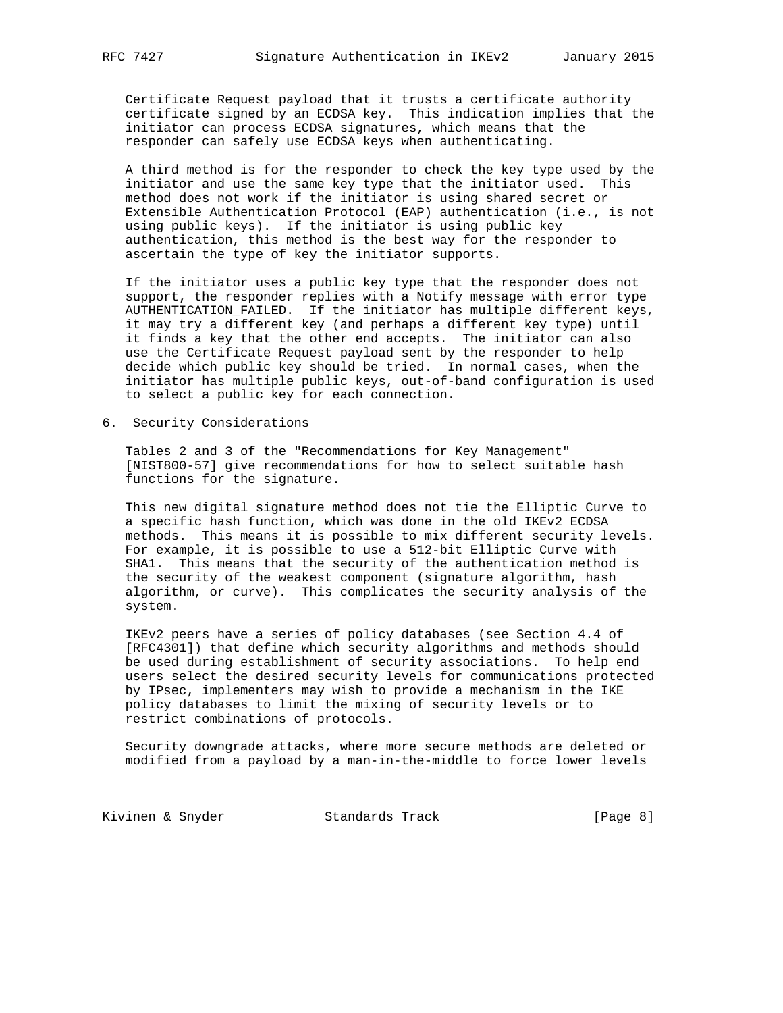Certificate Request payload that it trusts a certificate authority certificate signed by an ECDSA key. This indication implies that the initiator can process ECDSA signatures, which means that the responder can safely use ECDSA keys when authenticating.

 A third method is for the responder to check the key type used by the initiator and use the same key type that the initiator used. This method does not work if the initiator is using shared secret or Extensible Authentication Protocol (EAP) authentication (i.e., is not using public keys). If the initiator is using public key authentication, this method is the best way for the responder to ascertain the type of key the initiator supports.

 If the initiator uses a public key type that the responder does not support, the responder replies with a Notify message with error type AUTHENTICATION\_FAILED. If the initiator has multiple different keys, it may try a different key (and perhaps a different key type) until it finds a key that the other end accepts. The initiator can also use the Certificate Request payload sent by the responder to help decide which public key should be tried. In normal cases, when the initiator has multiple public keys, out-of-band configuration is used to select a public key for each connection.

6. Security Considerations

 Tables 2 and 3 of the "Recommendations for Key Management" [NIST800-57] give recommendations for how to select suitable hash functions for the signature.

 This new digital signature method does not tie the Elliptic Curve to a specific hash function, which was done in the old IKEv2 ECDSA methods. This means it is possible to mix different security levels. For example, it is possible to use a 512-bit Elliptic Curve with SHA1. This means that the security of the authentication method is the security of the weakest component (signature algorithm, hash algorithm, or curve). This complicates the security analysis of the system.

 IKEv2 peers have a series of policy databases (see Section 4.4 of [RFC4301]) that define which security algorithms and methods should be used during establishment of security associations. To help end users select the desired security levels for communications protected by IPsec, implementers may wish to provide a mechanism in the IKE policy databases to limit the mixing of security levels or to restrict combinations of protocols.

 Security downgrade attacks, where more secure methods are deleted or modified from a payload by a man-in-the-middle to force lower levels

Kivinen & Snyder Standards Track (Page 8)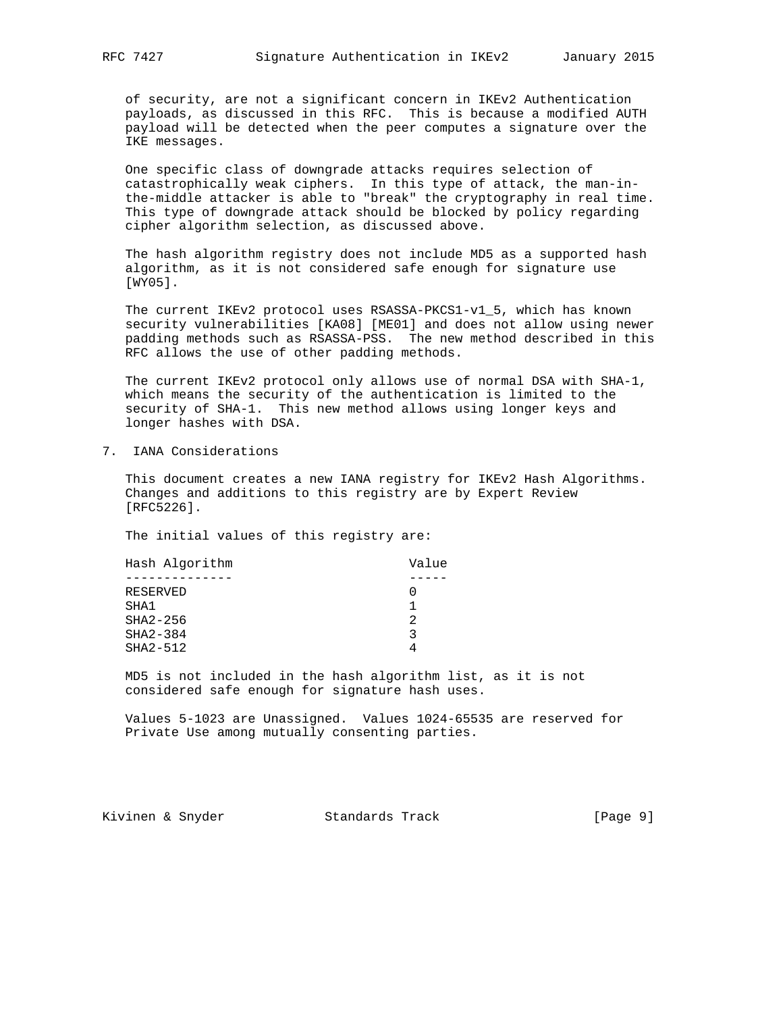of security, are not a significant concern in IKEv2 Authentication payloads, as discussed in this RFC. This is because a modified AUTH payload will be detected when the peer computes a signature over the IKE messages.

 One specific class of downgrade attacks requires selection of catastrophically weak ciphers. In this type of attack, the man-in the-middle attacker is able to "break" the cryptography in real time. This type of downgrade attack should be blocked by policy regarding cipher algorithm selection, as discussed above.

 The hash algorithm registry does not include MD5 as a supported hash algorithm, as it is not considered safe enough for signature use [WY05].

 The current IKEv2 protocol uses RSASSA-PKCS1-v1\_5, which has known security vulnerabilities [KA08] [ME01] and does not allow using newer padding methods such as RSASSA-PSS. The new method described in this RFC allows the use of other padding methods.

 The current IKEv2 protocol only allows use of normal DSA with SHA-1, which means the security of the authentication is limited to the security of SHA-1. This new method allows using longer keys and longer hashes with DSA.

7. IANA Considerations

 This document creates a new IANA registry for IKEv2 Hash Algorithms. Changes and additions to this registry are by Expert Review [RFC5226].

The initial values of this registry are:

| Hash Algorithm | Value |
|----------------|-------|
|                |       |
| RESERVED       |       |
| SHA1           |       |
| $SHA2-256$     |       |
| $SHA2-384$     |       |
| $SHA2-512$     |       |
|                |       |

 MD5 is not included in the hash algorithm list, as it is not considered safe enough for signature hash uses.

 Values 5-1023 are Unassigned. Values 1024-65535 are reserved for Private Use among mutually consenting parties.

Kivinen & Snyder Standards Track [Page 9]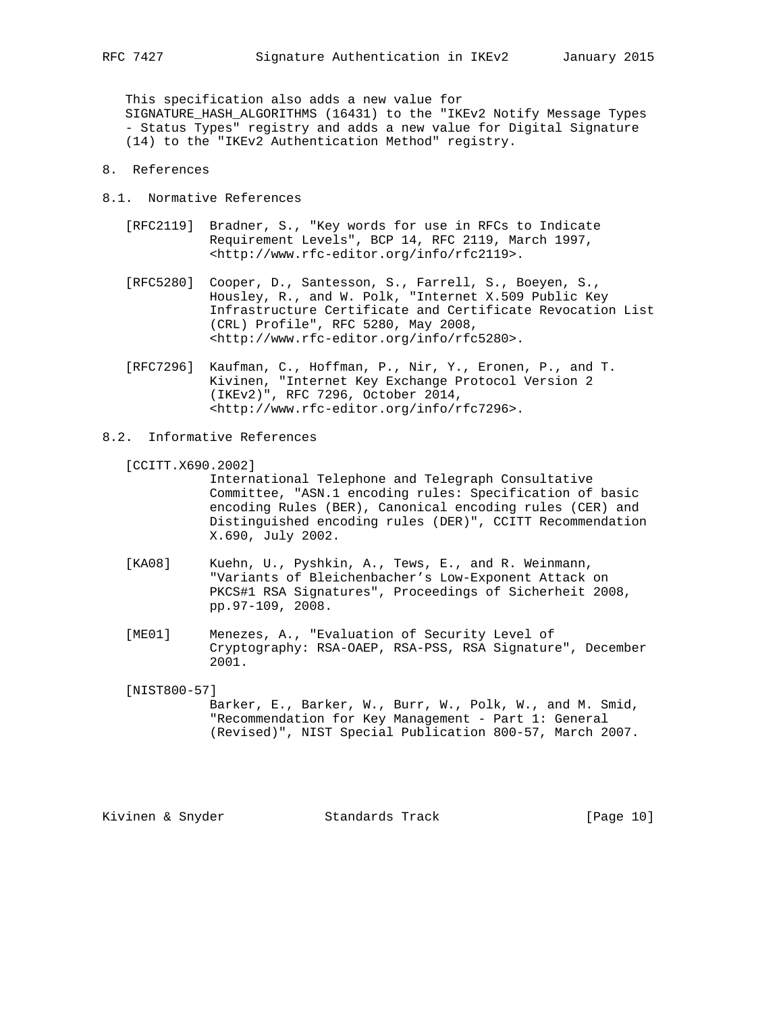This specification also adds a new value for SIGNATURE\_HASH\_ALGORITHMS (16431) to the "IKEv2 Notify Message Types - Status Types" registry and adds a new value for Digital Signature (14) to the "IKEv2 Authentication Method" registry.

- 8. References
- 8.1. Normative References
	- [RFC2119] Bradner, S., "Key words for use in RFCs to Indicate Requirement Levels", BCP 14, RFC 2119, March 1997, <http://www.rfc-editor.org/info/rfc2119>.
	- [RFC5280] Cooper, D., Santesson, S., Farrell, S., Boeyen, S., Housley, R., and W. Polk, "Internet X.509 Public Key Infrastructure Certificate and Certificate Revocation List (CRL) Profile", RFC 5280, May 2008, <http://www.rfc-editor.org/info/rfc5280>.
	- [RFC7296] Kaufman, C., Hoffman, P., Nir, Y., Eronen, P., and T. Kivinen, "Internet Key Exchange Protocol Version 2 (IKEv2)", RFC 7296, October 2014, <http://www.rfc-editor.org/info/rfc7296>.
- 8.2. Informative References
	- [CCITT.X690.2002]

 International Telephone and Telegraph Consultative Committee, "ASN.1 encoding rules: Specification of basic encoding Rules (BER), Canonical encoding rules (CER) and Distinguished encoding rules (DER)", CCITT Recommendation X.690, July 2002.

- [KA08] Kuehn, U., Pyshkin, A., Tews, E., and R. Weinmann, "Variants of Bleichenbacher's Low-Exponent Attack on PKCS#1 RSA Signatures", Proceedings of Sicherheit 2008, pp.97-109, 2008.
- [ME01] Menezes, A., "Evaluation of Security Level of Cryptography: RSA-OAEP, RSA-PSS, RSA Signature", December 2001.

[NIST800-57]

 Barker, E., Barker, W., Burr, W., Polk, W., and M. Smid, "Recommendation for Key Management - Part 1: General (Revised)", NIST Special Publication 800-57, March 2007.

Kivinen & Snyder Standards Track [Page 10]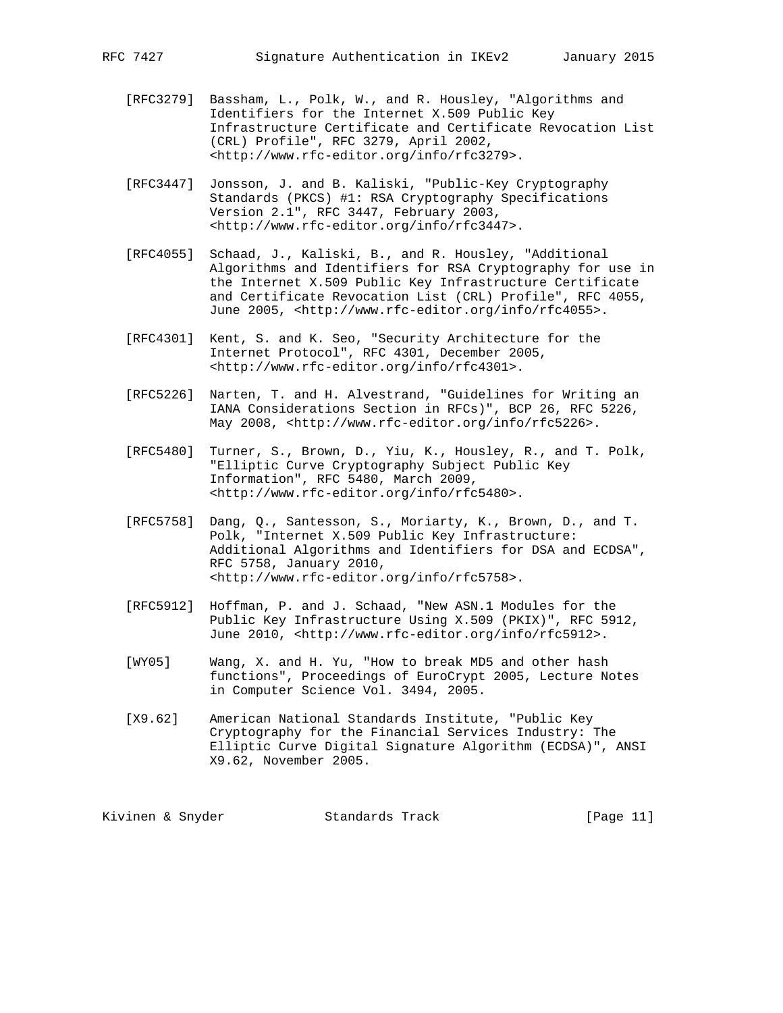- [RFC3279] Bassham, L., Polk, W., and R. Housley, "Algorithms and Identifiers for the Internet X.509 Public Key Infrastructure Certificate and Certificate Revocation List (CRL) Profile", RFC 3279, April 2002, <http://www.rfc-editor.org/info/rfc3279>.
- [RFC3447] Jonsson, J. and B. Kaliski, "Public-Key Cryptography Standards (PKCS) #1: RSA Cryptography Specifications Version 2.1", RFC 3447, February 2003, <http://www.rfc-editor.org/info/rfc3447>.
- [RFC4055] Schaad, J., Kaliski, B., and R. Housley, "Additional Algorithms and Identifiers for RSA Cryptography for use in the Internet X.509 Public Key Infrastructure Certificate and Certificate Revocation List (CRL) Profile", RFC 4055, June 2005, <http://www.rfc-editor.org/info/rfc4055>.
- [RFC4301] Kent, S. and K. Seo, "Security Architecture for the Internet Protocol", RFC 4301, December 2005, <http://www.rfc-editor.org/info/rfc4301>.
- [RFC5226] Narten, T. and H. Alvestrand, "Guidelines for Writing an IANA Considerations Section in RFCs)", BCP 26, RFC 5226, May 2008, <http://www.rfc-editor.org/info/rfc5226>.
- [RFC5480] Turner, S., Brown, D., Yiu, K., Housley, R., and T. Polk, "Elliptic Curve Cryptography Subject Public Key Information", RFC 5480, March 2009, <http://www.rfc-editor.org/info/rfc5480>.
- [RFC5758] Dang, Q., Santesson, S., Moriarty, K., Brown, D., and T. Polk, "Internet X.509 Public Key Infrastructure: Additional Algorithms and Identifiers for DSA and ECDSA", RFC 5758, January 2010, <http://www.rfc-editor.org/info/rfc5758>.
- [RFC5912] Hoffman, P. and J. Schaad, "New ASN.1 Modules for the Public Key Infrastructure Using X.509 (PKIX)", RFC 5912, June 2010, <http://www.rfc-editor.org/info/rfc5912>.
- [WY05] Wang, X. and H. Yu, "How to break MD5 and other hash functions", Proceedings of EuroCrypt 2005, Lecture Notes in Computer Science Vol. 3494, 2005.
- [X9.62] American National Standards Institute, "Public Key Cryptography for the Financial Services Industry: The Elliptic Curve Digital Signature Algorithm (ECDSA)", ANSI X9.62, November 2005.

Kivinen & Snyder Standards Track [Page 11]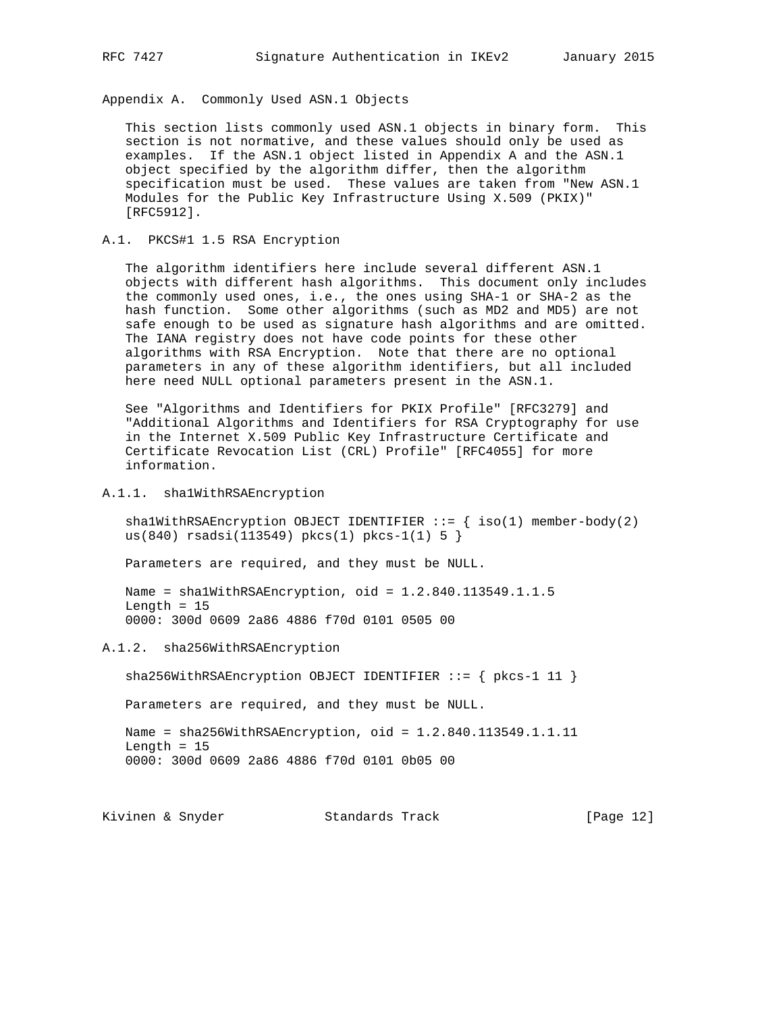Appendix A. Commonly Used ASN.1 Objects

 This section lists commonly used ASN.1 objects in binary form. This section is not normative, and these values should only be used as examples. If the ASN.1 object listed in Appendix A and the ASN.1 object specified by the algorithm differ, then the algorithm specification must be used. These values are taken from "New ASN.1 Modules for the Public Key Infrastructure Using X.509 (PKIX)" [RFC5912].

### A.1. PKCS#1 1.5 RSA Encryption

 The algorithm identifiers here include several different ASN.1 objects with different hash algorithms. This document only includes the commonly used ones, i.e., the ones using SHA-1 or SHA-2 as the hash function. Some other algorithms (such as MD2 and MD5) are not safe enough to be used as signature hash algorithms and are omitted. The IANA registry does not have code points for these other algorithms with RSA Encryption. Note that there are no optional parameters in any of these algorithm identifiers, but all included here need NULL optional parameters present in the ASN.1.

 See "Algorithms and Identifiers for PKIX Profile" [RFC3279] and "Additional Algorithms and Identifiers for RSA Cryptography for use in the Internet X.509 Public Key Infrastructure Certificate and Certificate Revocation List (CRL) Profile" [RFC4055] for more information.

## A.1.1. sha1WithRSAEncryption

sha1WithRSAEncryption OBJECT IDENTIFIER  $::=$  { iso(1) member-body(2) us(840)  $rsadsi(113549)$   $pkcs(1)$   $pkcs-1(1)$  5 }

Parameters are required, and they must be NULL.

 Name = sha1WithRSAEncryption, oid = 1.2.840.113549.1.1.5 Length  $= 15$ 0000: 300d 0609 2a86 4886 f70d 0101 0505 00

A.1.2. sha256WithRSAEncryption

sha256WithRSAEncryption OBJECT IDENTIFIER ::= { pkcs-1 11 }

Parameters are required, and they must be NULL.

 Name = sha256WithRSAEncryption, oid = 1.2.840.113549.1.1.11 Length  $= 15$ 0000: 300d 0609 2a86 4886 f70d 0101 0b05 00

Kivinen & Snyder Standards Track [Page 12]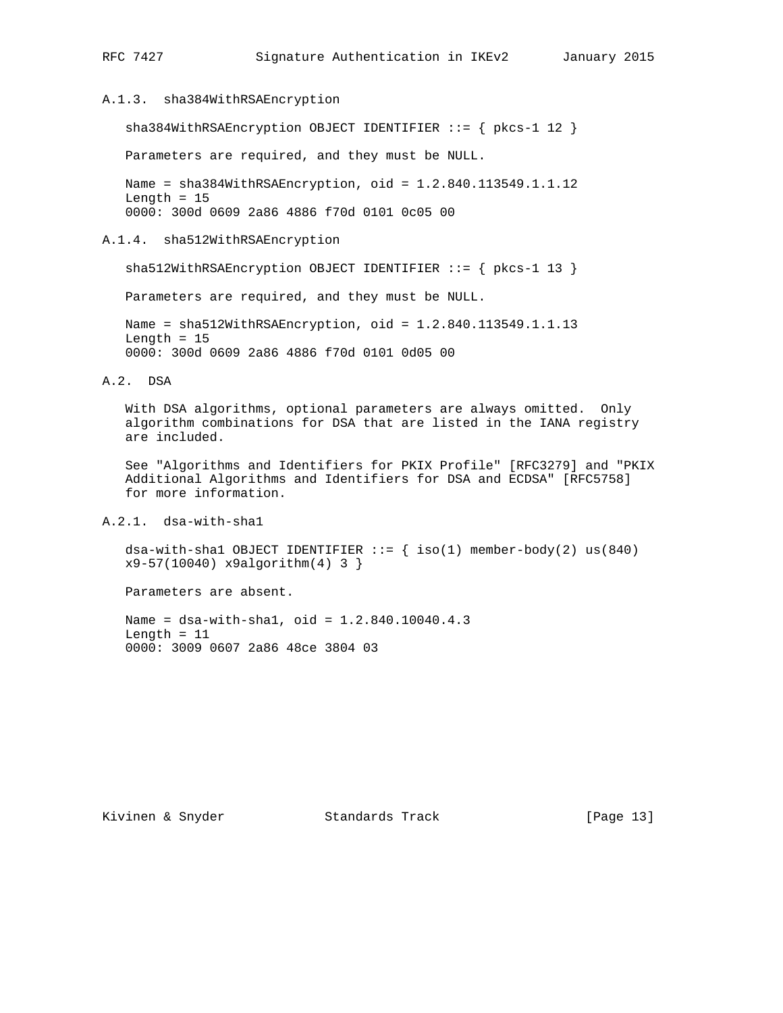### A.1.3. sha384WithRSAEncryption

sha384WithRSAEncryption OBJECT IDENTIFIER ::= { pkcs-1 12 }

Parameters are required, and they must be NULL.

 Name = sha384WithRSAEncryption, oid = 1.2.840.113549.1.1.12 Length  $= 15$ 0000: 300d 0609 2a86 4886 f70d 0101 0c05 00

### A.1.4. sha512WithRSAEncryption

sha512WithRSAEncryption OBJECT IDENTIFIER ::= { pkcs-1 13 }

Parameters are required, and they must be NULL.

 Name = sha512WithRSAEncryption, oid = 1.2.840.113549.1.1.13 Length  $= 15$ 0000: 300d 0609 2a86 4886 f70d 0101 0d05 00

## A.2. DSA

 With DSA algorithms, optional parameters are always omitted. Only algorithm combinations for DSA that are listed in the IANA registry are included.

 See "Algorithms and Identifiers for PKIX Profile" [RFC3279] and "PKIX Additional Algorithms and Identifiers for DSA and ECDSA" [RFC5758] for more information.

## A.2.1. dsa-with-sha1

dsa-with-shal OBJECT IDENTIFIER  $::=$  { iso(1) member-body(2) us(840) x9-57(10040) x9algorithm(4) 3 }

Parameters are absent.

 Name = dsa-with-sha1, oid = 1.2.840.10040.4.3 Length  $= 11$ 0000: 3009 0607 2a86 48ce 3804 03

Kivinen & Snyder Standards Track [Page 13]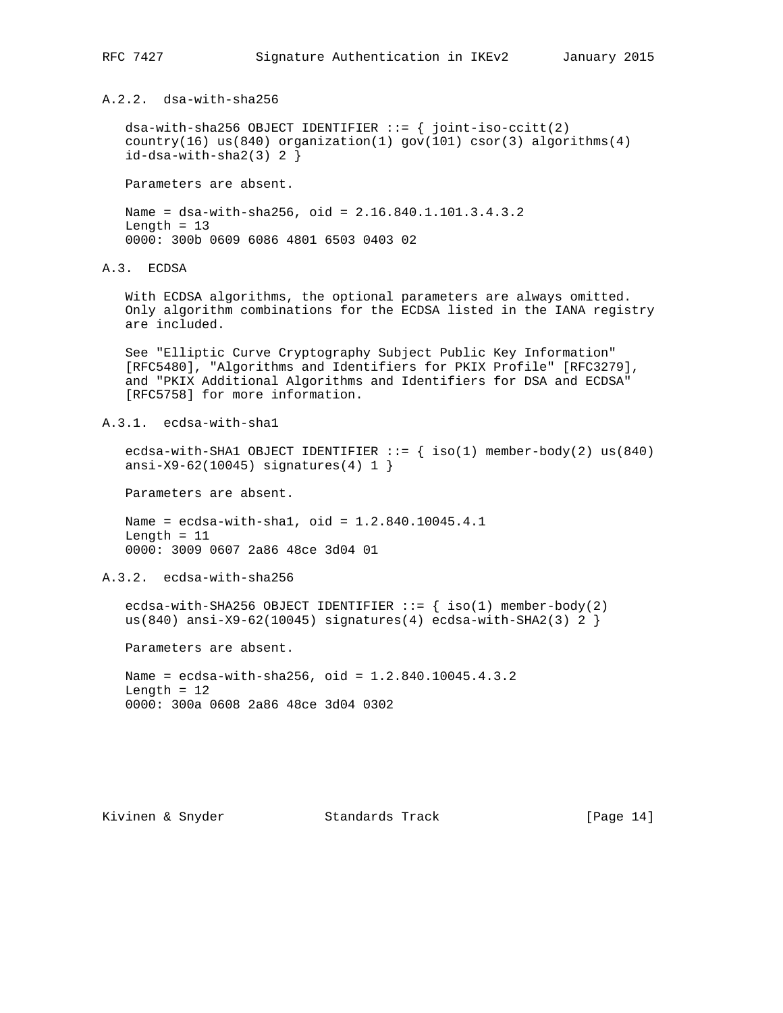A.2.2. dsa-with-sha256

 $dsa-with-sha256 OBJECT IDENTIFYER ::= { joint-iso-ccitt(2)}$ country(16) us(840) organization(1) gov(101) csor(3) algorithms(4) id-dsa-with-sha2(3) 2 }

Parameters are absent.

 Name = dsa-with-sha256, oid = 2.16.840.1.101.3.4.3.2 Length  $= 13$ 0000: 300b 0609 6086 4801 6503 0403 02

A.3. ECDSA

 With ECDSA algorithms, the optional parameters are always omitted. Only algorithm combinations for the ECDSA listed in the IANA registry are included.

 See "Elliptic Curve Cryptography Subject Public Key Information" [RFC5480], "Algorithms and Identifiers for PKIX Profile" [RFC3279], and "PKIX Additional Algorithms and Identifiers for DSA and ECDSA" [RFC5758] for more information.

A.3.1. ecdsa-with-sha1

ecdsa-with-SHA1 OBJECT IDENTIFIER  $::=$  { iso(1) member-body(2) us(840)  $ansi-X9-62(10045)$  signatures(4) 1 }

Parameters are absent.

 Name = ecdsa-with-sha1, oid = 1.2.840.10045.4.1 Length  $= 11$ 0000: 3009 0607 2a86 48ce 3d04 01

A.3.2. ecdsa-with-sha256

ecdsa-with-SHA256 OBJECT IDENTIFIER  $::=$  { iso(1) member-body(2) us(840) ansi-X9-62(10045) signatures(4) ecdsa-with-SHA2(3) 2 }

Parameters are absent.

 Name = ecdsa-with-sha256, oid = 1.2.840.10045.4.3.2 Length = 12 0000: 300a 0608 2a86 48ce 3d04 0302

Kivinen & Snyder Standards Track [Page 14]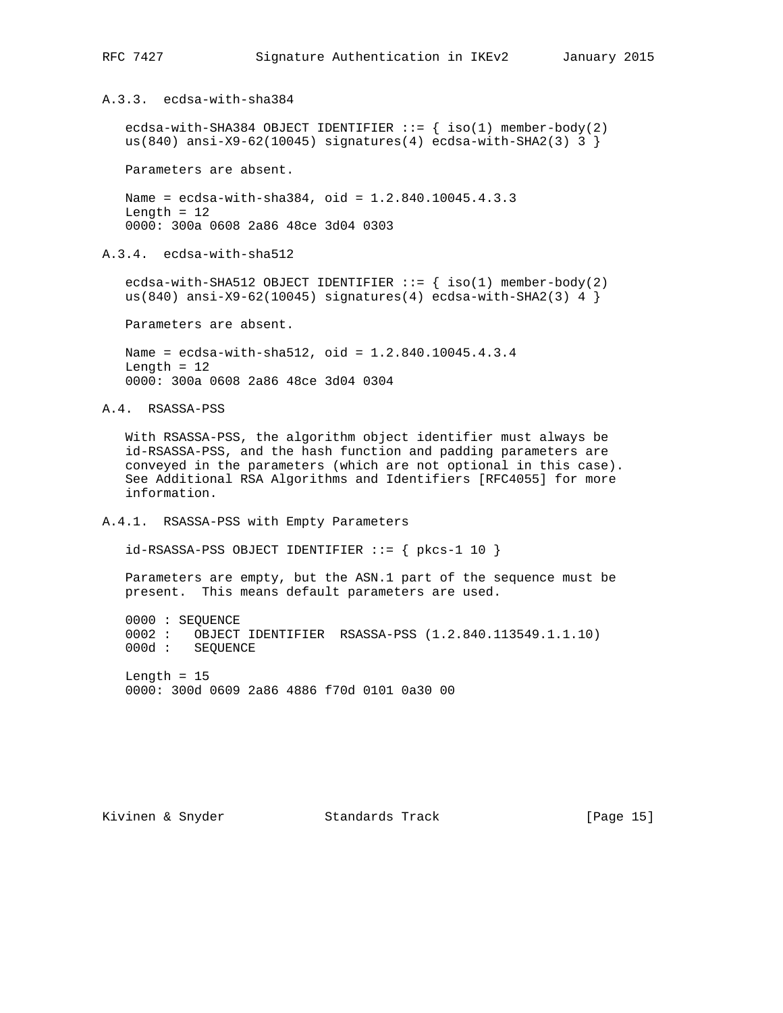A.3.3. ecdsa-with-sha384

ecdsa-with-SHA384 OBJECT IDENTIFIER  $::=$  { iso(1) member-body(2) us(840) ansi-X9-62(10045) signatures(4) ecdsa-with-SHA2(3) 3 }

Parameters are absent.

 Name = ecdsa-with-sha384, oid = 1.2.840.10045.4.3.3 Length  $= 12$ 0000: 300a 0608 2a86 48ce 3d04 0303

A.3.4. ecdsa-with-sha512

ecdsa-with-SHA512 OBJECT IDENTIFIER  $::=$  { iso(1) member-body(2) us(840) ansi-X9-62(10045) signatures(4) ecdsa-with-SHA2(3) 4 }

Parameters are absent.

 Name = ecdsa-with-sha512, oid = 1.2.840.10045.4.3.4 Length  $= 12$ 0000: 300a 0608 2a86 48ce 3d04 0304

A.4. RSASSA-PSS

 With RSASSA-PSS, the algorithm object identifier must always be id-RSASSA-PSS, and the hash function and padding parameters are conveyed in the parameters (which are not optional in this case). See Additional RSA Algorithms and Identifiers [RFC4055] for more information.

A.4.1. RSASSA-PSS with Empty Parameters

 $id-RSASSA-PSS$  OBJECT IDENTIFIER  $::=$  {  $pkcs-1$  10 }

 Parameters are empty, but the ASN.1 part of the sequence must be present. This means default parameters are used.

 0000 : SEQUENCE 0002 : OBJECT IDENTIFIER RSASSA-PSS (1.2.840.113549.1.1.10) 000d : SEQUENCE

Length  $= 15$ 0000: 300d 0609 2a86 4886 f70d 0101 0a30 00

Kivinen & Snyder Standards Track [Page 15]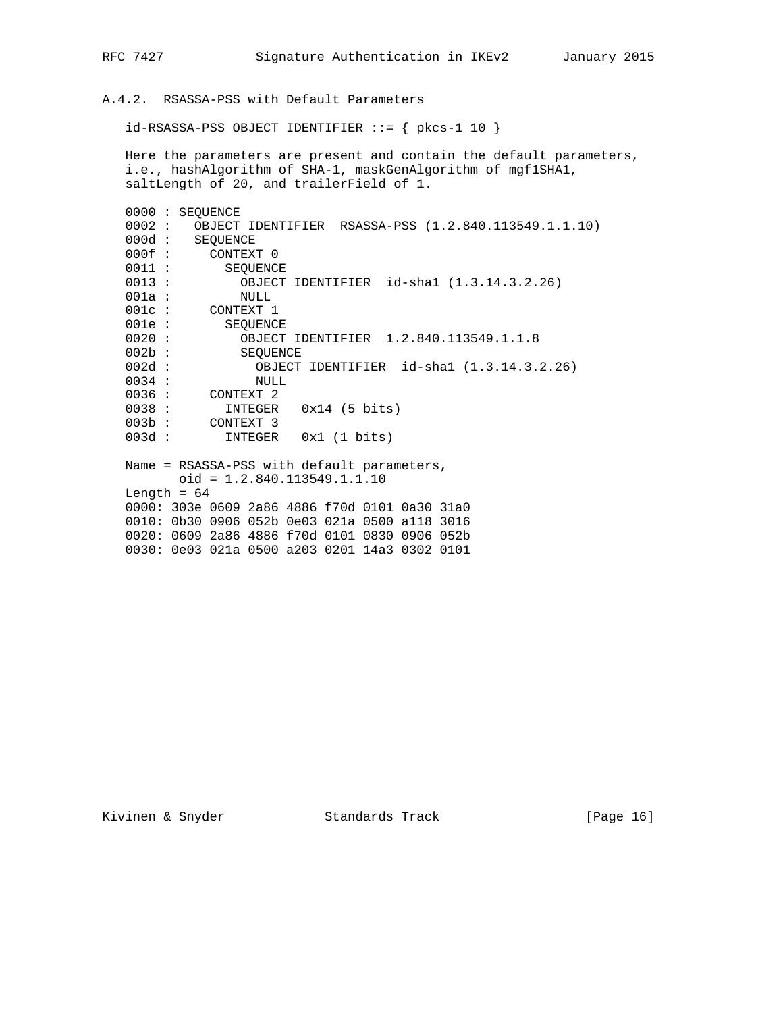# A.4.2. RSASSA-PSS with Default Parameters

 $id$ -RSASSA-PSS OBJECT IDENTIFIER  $::=$  {  $pkcs-1$  10 }

 Here the parameters are present and contain the default parameters, i.e., hashAlgorithm of SHA-1, maskGenAlgorithm of mgf1SHA1, saltLength of 20, and trailerField of 1.

| 0000 : SEQUENCE                                             |  |
|-------------------------------------------------------------|--|
| 0002 : OBJECT IDENTIFIER RSASSA-PSS (1.2.840.113549.1.1.10) |  |
| 000d: SEQUENCE                                              |  |
| $000f$ :<br>CONTEXT 0                                       |  |
| $0011$ :<br>SEQUENCE                                        |  |
| 0013 :<br>OBJECT IDENTIFIER id-shal (1.3.14.3.2.26)         |  |
| $001a$ :<br>NULL                                            |  |
| 001c: CONTEXT 1                                             |  |
| $001e$ :<br>SEQUENCE                                        |  |
| $0020$ :<br>OBJECT IDENTIFIER 1.2.840.113549.1.1.8          |  |
| $002b$ :<br>SEQUENCE                                        |  |
| $002d$ :<br>OBJECT IDENTIFIER id-shal (1.3.14.3.2.26)       |  |
| 0034 :<br>NULL                                              |  |
| $0036:$ CONTEXT 2                                           |  |
| 0038:<br>$INTEGER$ $0x14$ (5 bits)                          |  |
| 003b: CONTEXT 3                                             |  |
| $003d$ :<br>$INTER \quad 0x1 (1 bits)$                      |  |
|                                                             |  |
| Name = RSASSA-PSS with default parameters,                  |  |
| $oid = 1.2.840.113549.1.1.10$                               |  |
| Length = $64$                                               |  |
| 0000: 303e 0609 2a86 4886 f70d 0101 0a30 31a0               |  |
| 0010: 0b30 0906 052b 0e03 021a 0500 a118 3016               |  |
| 0020: 0609 2a86 4886 f70d 0101 0830 0906 052b               |  |
| 0030: 0e03 021a 0500 a203 0201 14a3 0302 0101               |  |

Kivinen & Snyder Standards Track [Page 16]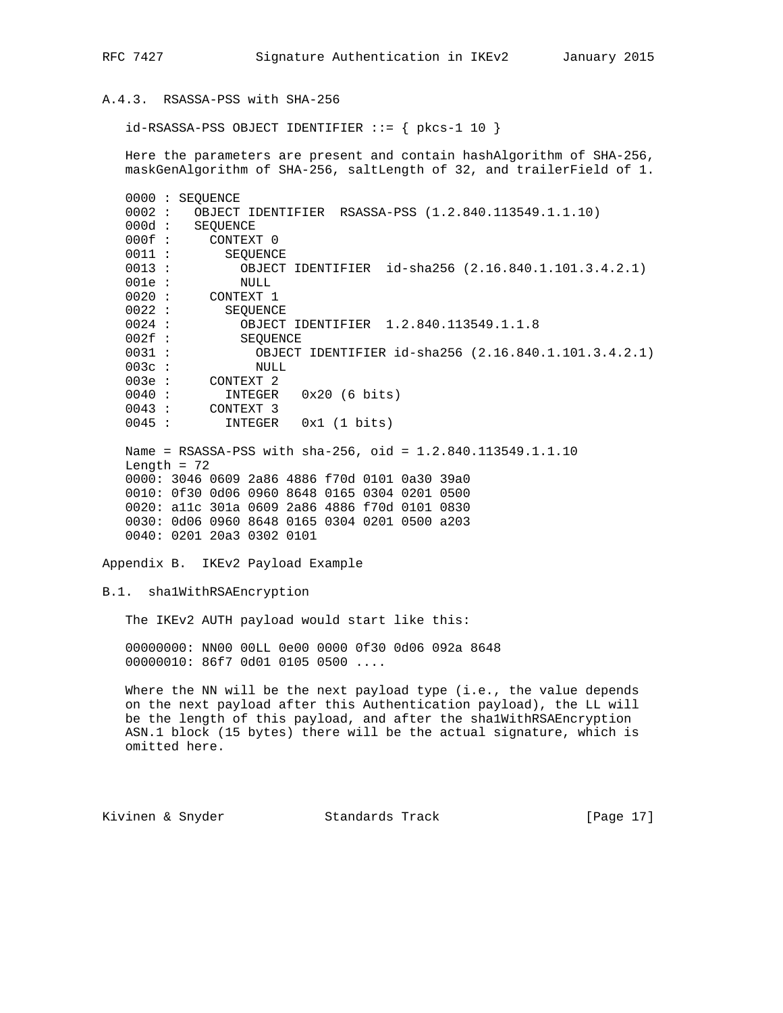## A.4.3. RSASSA-PSS with SHA-256

 $id-RSASSA-PSS$  OBJECT IDENTIFIER  $::=$  {  $pkcs-1$  10 }

 Here the parameters are present and contain hashAlgorithm of SHA-256, maskGenAlgorithm of SHA-256, saltLength of 32, and trailerField of 1.

| 0000:    | SEOUENCE                                                     |
|----------|--------------------------------------------------------------|
| 0002 :   | RSASSA-PSS $(1.2.840.113549.1.1.10)$<br>OBJECT IDENTIFIER    |
| $000d$ : | SEOUENCE                                                     |
| $000f$ : | CONTEXT 0                                                    |
| 0011 :   | SEOUENCE                                                     |
| 0013 :   | $id$ -sha256 $(2.16.840.1.101.3.4.2.1)$<br>OBJECT IDENTIFIER |
| $001e$ : | NULL                                                         |
| $0020$ : | CONTEXT 1                                                    |
| 0022 :   | <b>SEOUENCE</b>                                              |
| $0024$ : | OBJECT IDENTIFIER 1.2.840.113549.1.1.8                       |
| $002f$ : | SEOUENCE                                                     |
| 0031 :   | OBJECT IDENTIFIER id-sha256 (2.16.840.1.101.3.4.2.1)         |
| $003c$ : | NULL                                                         |
| 003e :   | CONTEXT <sub>2</sub>                                         |
| $0040$ : | $0x20$ (6 bits)<br>INTEGER                                   |
| 0043 :   | CONTEXT 3                                                    |
| 0045 :   | $0x1$ $(1 \text{ bits})$<br>INTEGER                          |

 Name = RSASSA-PSS with sha-256, oid = 1.2.840.113549.1.1.10 Length =  $72$  0000: 3046 0609 2a86 4886 f70d 0101 0a30 39a0 0010: 0f30 0d06 0960 8648 0165 0304 0201 0500 0020: a11c 301a 0609 2a86 4886 f70d 0101 0830 0030: 0d06 0960 8648 0165 0304 0201 0500 a203 0040: 0201 20a3 0302 0101

Appendix B. IKEv2 Payload Example

B.1. sha1WithRSAEncryption

The IKEv2 AUTH payload would start like this:

 00000000: NN00 00LL 0e00 0000 0f30 0d06 092a 8648 00000010: 86f7 0d01 0105 0500 ....

Where the NN will be the next payload type (i.e., the value depends on the next payload after this Authentication payload), the LL will be the length of this payload, and after the sha1WithRSAEncryption ASN.1 block (15 bytes) there will be the actual signature, which is omitted here.

Kivinen & Snyder Standards Track [Page 17]